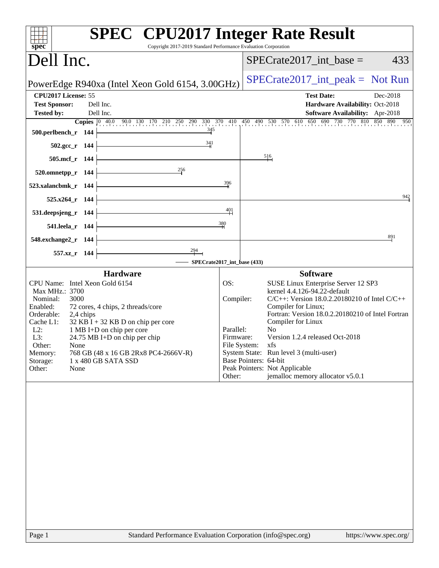| spec <sup>®</sup>                                                |           | Copyright 2017-2019 Standard Performance Evaluation Corporation   |           | <b>SPEC<sup>®</sup></b> CPU2017 Integer Rate Result                                                           |
|------------------------------------------------------------------|-----------|-------------------------------------------------------------------|-----------|---------------------------------------------------------------------------------------------------------------|
| Dell Inc.                                                        |           |                                                                   |           | $SPECrate2017\_int\_base =$<br>433                                                                            |
|                                                                  |           | PowerEdge R940xa (Intel Xeon Gold 6154, 3.00GHz)                  |           | $SPECrate2017\_int\_peak = Not Run$                                                                           |
| CPU2017 License: 55<br><b>Test Sponsor:</b><br><b>Tested by:</b> |           | Dell Inc.<br>Dell Inc.                                            |           | <b>Test Date:</b><br>Dec-2018<br>Hardware Availability: Oct-2018<br>Software Availability: Apr-2018           |
|                                                                  |           |                                                                   |           | <b>Copies</b> 0 40.0 90.0 130 170 210 250 290 330 370 410 450 490 530 570 610 650 690 730 770 810 850 890 950 |
| 500.perlbench_r 144                                              |           | $\frac{345}{5}$                                                   |           |                                                                                                               |
| $502.\text{gcc}_r$ 144                                           |           | 341                                                               |           |                                                                                                               |
| 505.mcf_r 144                                                    |           |                                                                   |           | 516                                                                                                           |
| 520.omnetpp_r 144                                                |           | 256                                                               |           |                                                                                                               |
| 523.xalancbmk_r 144                                              |           |                                                                   | 396       |                                                                                                               |
| 525.x264_r 144                                                   |           |                                                                   |           | 942                                                                                                           |
| 531.deepsjeng_r 144                                              |           |                                                                   | 401       |                                                                                                               |
| 541.leela_r 144                                                  |           |                                                                   | 380       |                                                                                                               |
| 548.exchange2_r 144                                              |           |                                                                   |           | 891                                                                                                           |
| 557.xz_r 144                                                     |           | $\frac{294}{1}$                                                   |           |                                                                                                               |
|                                                                  |           | - SPECrate2017_int_base (433)                                     |           |                                                                                                               |
| CPU Name: Intel Xeon Gold 6154                                   |           | <b>Hardware</b>                                                   | OS:       | <b>Software</b>                                                                                               |
| Max MHz.: 3700                                                   |           |                                                                   |           | SUSE Linux Enterprise Server 12 SP3<br>kernel 4.4.126-94.22-default                                           |
| Nominal:<br>3000<br>Enabled:                                     |           | 72 cores, 4 chips, 2 threads/core                                 |           | $C/C++$ : Version 18.0.2.20180210 of Intel $C/C++$<br>Compiler:<br>Compiler for Linux;                        |
| Orderable:                                                       | 2,4 chips |                                                                   |           | Fortran: Version 18.0.2.20180210 of Intel Fortran                                                             |
| Cache L1:<br>$L2$ :                                              |           | $32$ KB I + 32 KB D on chip per core<br>1 MB I+D on chip per core | Parallel: | Compiler for Linux<br>N <sub>0</sub>                                                                          |
| L3:                                                              |           | 24.75 MB I+D on chip per chip                                     |           | Version 1.2.4 released Oct-2018<br>Firmware:                                                                  |
| Other:<br>None                                                   |           |                                                                   |           | File System: xfs                                                                                              |
| Memory:<br>Storage:                                              |           | 768 GB (48 x 16 GB 2Rx8 PC4-2666V-R)<br>1 x 480 GB SATA SSD       |           | System State: Run level 3 (multi-user)<br>Base Pointers: 64-bit                                               |
| Other:<br>None                                                   |           |                                                                   |           | Peak Pointers: Not Applicable                                                                                 |
|                                                                  |           |                                                                   | Other:    | jemalloc memory allocator v5.0.1                                                                              |
|                                                                  |           |                                                                   |           |                                                                                                               |
| Page 1                                                           |           | Standard Performance Evaluation Corporation (info@spec.org)       |           | https://www.spec.org/                                                                                         |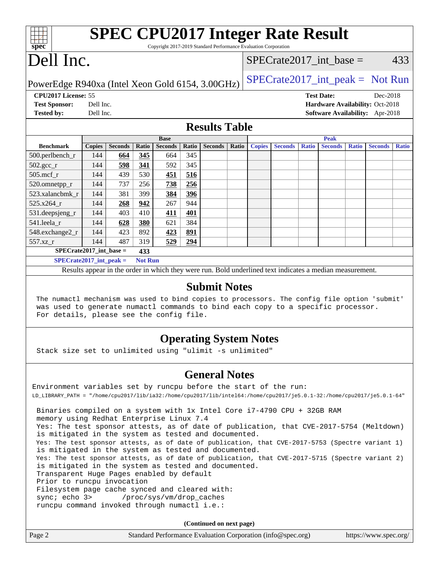| spec® | <b>SPEC CPU2017 Integer Rate Result</b><br>Copyright 2017-2019 Standard Performance Evaluation Corporation |                           |     |
|-------|------------------------------------------------------------------------------------------------------------|---------------------------|-----|
|       | Dell Inc.                                                                                                  | SPECrate2017 int base $=$ | 433 |

PowerEdge R940xa (Intel Xeon Gold 6154, 3.00GHz)  $SPECTate2017\_int\_peak = Not Run$ 

**[CPU2017 License:](http://www.spec.org/auto/cpu2017/Docs/result-fields.html#CPU2017License)** 55 **[Test Date:](http://www.spec.org/auto/cpu2017/Docs/result-fields.html#TestDate)** Dec-2018 **[Test Sponsor:](http://www.spec.org/auto/cpu2017/Docs/result-fields.html#TestSponsor)** Dell Inc. **[Hardware Availability:](http://www.spec.org/auto/cpu2017/Docs/result-fields.html#HardwareAvailability)** Oct-2018 **[Tested by:](http://www.spec.org/auto/cpu2017/Docs/result-fields.html#Testedby)** Dell Inc. **[Software Availability:](http://www.spec.org/auto/cpu2017/Docs/result-fields.html#SoftwareAvailability)** Apr-2018

### **[Results Table](http://www.spec.org/auto/cpu2017/Docs/result-fields.html#ResultsTable)**

|                             | <b>Base</b>   |                |                |                | <b>Peak</b> |                |       |               |                |              |                |              |                |              |
|-----------------------------|---------------|----------------|----------------|----------------|-------------|----------------|-------|---------------|----------------|--------------|----------------|--------------|----------------|--------------|
| <b>Benchmark</b>            | <b>Copies</b> | <b>Seconds</b> | Ratio          | <b>Seconds</b> | Ratio       | <b>Seconds</b> | Ratio | <b>Copies</b> | <b>Seconds</b> | <b>Ratio</b> | <b>Seconds</b> | <b>Ratio</b> | <b>Seconds</b> | <b>Ratio</b> |
| 500.perlbench_r             | 144           | 664            | 345            | 664            | 345         |                |       |               |                |              |                |              |                |              |
| $502.\text{gcc}$ _r         | 144           | 598            | 341            | 592            | 345         |                |       |               |                |              |                |              |                |              |
| $505$ .mcf r                | 144           | 439            | 530            | 451            | 516         |                |       |               |                |              |                |              |                |              |
| 520.omnetpp_r               | 144           | 737            | 256            | 738            | 256         |                |       |               |                |              |                |              |                |              |
| 523.xalancbmk r             | 144           | 381            | 399            | 384            | 396         |                |       |               |                |              |                |              |                |              |
| 525.x264 r                  | 144           | 268            | 942            | 267            | 944         |                |       |               |                |              |                |              |                |              |
| $531.$ deepsjeng $_r$       | 144           | 403            | 410            | <u>411</u>     | 401         |                |       |               |                |              |                |              |                |              |
| 541.leela r                 | 144           | 628            | 380            | 621            | 384         |                |       |               |                |              |                |              |                |              |
| 548.exchange2_r             | 144           | 423            | 892            | 423            | <u>891</u>  |                |       |               |                |              |                |              |                |              |
| 557.xz r                    | 144           | 487            | 319            | 529            | 294         |                |       |               |                |              |                |              |                |              |
| $SPECrate2017\_int\_base =$ |               |                | 433            |                |             |                |       |               |                |              |                |              |                |              |
| $SPECrate2017$ int peak =   |               |                | <b>Not Run</b> |                |             |                |       |               |                |              |                |              |                |              |

Results appear in the [order in which they were run](http://www.spec.org/auto/cpu2017/Docs/result-fields.html#RunOrder). Bold underlined text [indicates a median measurement](http://www.spec.org/auto/cpu2017/Docs/result-fields.html#Median).

### **[Submit Notes](http://www.spec.org/auto/cpu2017/Docs/result-fields.html#SubmitNotes)**

 The numactl mechanism was used to bind copies to processors. The config file option 'submit' was used to generate numactl commands to bind each copy to a specific processor. For details, please see the config file.

### **[Operating System Notes](http://www.spec.org/auto/cpu2017/Docs/result-fields.html#OperatingSystemNotes)**

Stack size set to unlimited using "ulimit -s unlimited"

### **[General Notes](http://www.spec.org/auto/cpu2017/Docs/result-fields.html#GeneralNotes)**

Environment variables set by runcpu before the start of the run: LD\_LIBRARY\_PATH = "/home/cpu2017/lib/ia32:/home/cpu2017/lib/intel64:/home/cpu2017/je5.0.1-32:/home/cpu2017/je5.0.1-64" Binaries compiled on a system with 1x Intel Core i7-4790 CPU + 32GB RAM memory using Redhat Enterprise Linux 7.4 Yes: The test sponsor attests, as of date of publication, that CVE-2017-5754 (Meltdown) is mitigated in the system as tested and documented. Yes: The test sponsor attests, as of date of publication, that CVE-2017-5753 (Spectre variant 1) is mitigated in the system as tested and documented. Yes: The test sponsor attests, as of date of publication, that CVE-2017-5715 (Spectre variant 2) is mitigated in the system as tested and documented. Transparent Huge Pages enabled by default Prior to runcpu invocation Filesystem page cache synced and cleared with: sync; echo 3> /proc/sys/vm/drop\_caches runcpu command invoked through numactl i.e.:

**(Continued on next page)**

| Page 2<br>Standard Performance Evaluation Corporation (info@spec.org)<br>https://www.spec.org/ |
|------------------------------------------------------------------------------------------------|
|------------------------------------------------------------------------------------------------|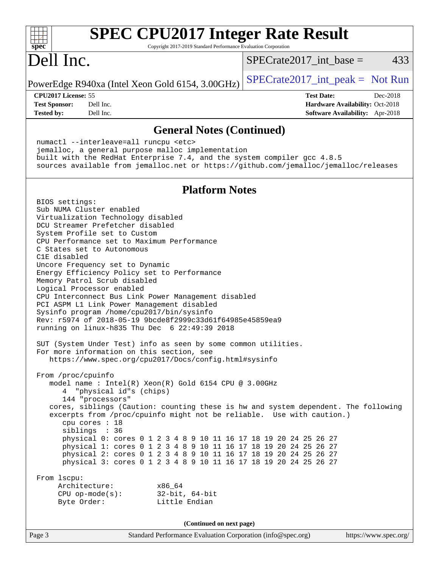| <b>SPEC CPU2017 Integer Rate Result</b><br>$spec^*$<br>Copyright 2017-2019 Standard Performance Evaluation Corporation                                                                                                                                                                                                                                                                                                                                                                                                                                                                                                                                                                                                                                                                                                                                                                                                  |                                        |
|-------------------------------------------------------------------------------------------------------------------------------------------------------------------------------------------------------------------------------------------------------------------------------------------------------------------------------------------------------------------------------------------------------------------------------------------------------------------------------------------------------------------------------------------------------------------------------------------------------------------------------------------------------------------------------------------------------------------------------------------------------------------------------------------------------------------------------------------------------------------------------------------------------------------------|----------------------------------------|
| Dell Inc.                                                                                                                                                                                                                                                                                                                                                                                                                                                                                                                                                                                                                                                                                                                                                                                                                                                                                                               | 433<br>$SPECrate2017\_int\_base =$     |
| PowerEdge R940xa (Intel Xeon Gold 6154, 3.00GHz)                                                                                                                                                                                                                                                                                                                                                                                                                                                                                                                                                                                                                                                                                                                                                                                                                                                                        | $SPECrate2017\_int\_peak = Not Run$    |
| CPU2017 License: 55                                                                                                                                                                                                                                                                                                                                                                                                                                                                                                                                                                                                                                                                                                                                                                                                                                                                                                     | <b>Test Date:</b><br>Dec-2018          |
| <b>Test Sponsor:</b><br>Dell Inc.                                                                                                                                                                                                                                                                                                                                                                                                                                                                                                                                                                                                                                                                                                                                                                                                                                                                                       | <b>Hardware Availability: Oct-2018</b> |
| Dell Inc.<br><b>Tested by:</b>                                                                                                                                                                                                                                                                                                                                                                                                                                                                                                                                                                                                                                                                                                                                                                                                                                                                                          | Software Availability: Apr-2018        |
| <b>General Notes (Continued)</b>                                                                                                                                                                                                                                                                                                                                                                                                                                                                                                                                                                                                                                                                                                                                                                                                                                                                                        |                                        |
| numactl --interleave=all runcpu <etc><br/>jemalloc, a general purpose malloc implementation<br/>built with the RedHat Enterprise 7.4, and the system compiler gcc 4.8.5<br/>sources available from jemalloc.net or https://github.com/jemalloc/jemalloc/releases</etc>                                                                                                                                                                                                                                                                                                                                                                                                                                                                                                                                                                                                                                                  |                                        |
| <b>Platform Notes</b>                                                                                                                                                                                                                                                                                                                                                                                                                                                                                                                                                                                                                                                                                                                                                                                                                                                                                                   |                                        |
| BIOS settings:<br>Sub NUMA Cluster enabled<br>Virtualization Technology disabled<br>DCU Streamer Prefetcher disabled<br>System Profile set to Custom<br>CPU Performance set to Maximum Performance<br>C States set to Autonomous<br>C1E disabled<br>Uncore Frequency set to Dynamic<br>Energy Efficiency Policy set to Performance<br>Memory Patrol Scrub disabled<br>Logical Processor enabled<br>CPU Interconnect Bus Link Power Management disabled<br>PCI ASPM L1 Link Power Management disabled<br>Sysinfo program /home/cpu2017/bin/sysinfo<br>Rev: r5974 of 2018-05-19 9bcde8f2999c33d61f64985e45859ea9<br>running on $linux-h835$ Thu Dec $622:49:392018$<br>SUT (System Under Test) info as seen by some common utilities.<br>For more information on this section, see<br>https://www.spec.org/cpu2017/Docs/config.html#sysinfo<br>From /proc/cpuinfo<br>model name: Intel(R) Xeon(R) Gold 6154 CPU @ 3.00GHz |                                        |
| 4 "physical id"s (chips)<br>144 "processors"<br>cores, siblings (Caution: counting these is hw and system dependent. The following<br>excerpts from /proc/cpuinfo might not be reliable. Use with caution.)<br>cpu cores : 18<br>siblings : 36                                                                                                                                                                                                                                                                                                                                                                                                                                                                                                                                                                                                                                                                          |                                        |
| physical 0: cores 0 1 2 3 4 8 9 10 11 16 17 18 19 20 24 25 26 27<br>physical 1: cores 0 1 2 3 4 8 9 10 11 16 17 18 19 20 24 25 26 27<br>physical 2: cores 0 1 2 3 4 8 9 10 11 16 17 18 19 20 24 25 26 27<br>physical 3: cores 0 1 2 3 4 8 9 10 11 16 17 18 19 20 24 25 26 27                                                                                                                                                                                                                                                                                                                                                                                                                                                                                                                                                                                                                                            |                                        |
| From lscpu:<br>Architecture:<br>x86_64<br>CPU op-mode(s): $32-bit, 64-bit$<br>Little Endian<br>Byte Order:                                                                                                                                                                                                                                                                                                                                                                                                                                                                                                                                                                                                                                                                                                                                                                                                              |                                        |
| (Continued on next page)                                                                                                                                                                                                                                                                                                                                                                                                                                                                                                                                                                                                                                                                                                                                                                                                                                                                                                |                                        |
| Page 3<br>Standard Performance Evaluation Corporation (info@spec.org)                                                                                                                                                                                                                                                                                                                                                                                                                                                                                                                                                                                                                                                                                                                                                                                                                                                   | https://www.spec.org/                  |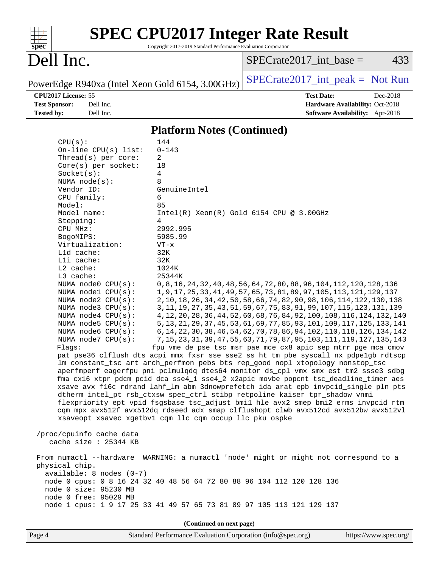| SI<br>эe<br>I<br>Ľ |  |  |  |  |  |
|--------------------|--|--|--|--|--|

# **[SPEC CPU2017 Integer Rate Result](http://www.spec.org/auto/cpu2017/Docs/result-fields.html#SPECCPU2017IntegerRateResult)**

Copyright 2017-2019 Standard Performance Evaluation Corporation

## Dell Inc.

 $SPECTate2017\_int\_base = 433$ 

PowerEdge R940xa (Intel Xeon Gold 6154, 3.00GHz)  $SPECTate2017\_int\_peak = Not Run$ 

**[CPU2017 License:](http://www.spec.org/auto/cpu2017/Docs/result-fields.html#CPU2017License)** 55 **[Test Date:](http://www.spec.org/auto/cpu2017/Docs/result-fields.html#TestDate)** Dec-2018 **[Test Sponsor:](http://www.spec.org/auto/cpu2017/Docs/result-fields.html#TestSponsor)** Dell Inc. **[Hardware Availability:](http://www.spec.org/auto/cpu2017/Docs/result-fields.html#HardwareAvailability)** Oct-2018 **[Tested by:](http://www.spec.org/auto/cpu2017/Docs/result-fields.html#Testedby)** Dell Inc. **[Software Availability:](http://www.spec.org/auto/cpu2017/Docs/result-fields.html#SoftwareAvailability)** Apr-2018

#### **[Platform Notes \(Continued\)](http://www.spec.org/auto/cpu2017/Docs/result-fields.html#PlatformNotes)**

| CPU(s):                                                                       | 144                                                                                                                                                     |  |  |  |  |  |
|-------------------------------------------------------------------------------|---------------------------------------------------------------------------------------------------------------------------------------------------------|--|--|--|--|--|
| On-line CPU(s) list:                                                          | $0 - 143$                                                                                                                                               |  |  |  |  |  |
| Thread( $s$ ) per core:                                                       | $\overline{a}$                                                                                                                                          |  |  |  |  |  |
| Core(s) per socket:                                                           | 18                                                                                                                                                      |  |  |  |  |  |
| Socket(s):                                                                    | 4                                                                                                                                                       |  |  |  |  |  |
| NUMA $node(s):$                                                               | 8                                                                                                                                                       |  |  |  |  |  |
| Vendor ID:                                                                    | GenuineIntel                                                                                                                                            |  |  |  |  |  |
| CPU family:                                                                   | 6                                                                                                                                                       |  |  |  |  |  |
| Model:                                                                        | 85                                                                                                                                                      |  |  |  |  |  |
| Model name:                                                                   | $Intel(R) Xeon(R) Gold 6154 CPU @ 3.00GHz$                                                                                                              |  |  |  |  |  |
| Stepping:                                                                     | 4                                                                                                                                                       |  |  |  |  |  |
| CPU MHz:                                                                      | 2992.995                                                                                                                                                |  |  |  |  |  |
| BogoMIPS:                                                                     | 5985.99                                                                                                                                                 |  |  |  |  |  |
| Virtualization:                                                               | $VT - x$                                                                                                                                                |  |  |  |  |  |
| L1d cache:                                                                    | 32K                                                                                                                                                     |  |  |  |  |  |
| Lli cache:                                                                    | 32K                                                                                                                                                     |  |  |  |  |  |
| L2 cache:                                                                     | 1024K                                                                                                                                                   |  |  |  |  |  |
| L3 cache:                                                                     | 25344K                                                                                                                                                  |  |  |  |  |  |
| NUMA node0 CPU(s):                                                            | 0, 8, 16, 24, 32, 40, 48, 56, 64, 72, 80, 88, 96, 104, 112, 120, 128, 136                                                                               |  |  |  |  |  |
| NUMA nodel CPU(s):                                                            | 1, 9, 17, 25, 33, 41, 49, 57, 65, 73, 81, 89, 97, 105, 113, 121, 129, 137<br>2, 10, 18, 26, 34, 42, 50, 58, 66, 74, 82, 90, 98, 106, 114, 122, 130, 138 |  |  |  |  |  |
| NUMA $node2$ $CPU(s):$<br>NUMA node3 CPU(s):                                  | 3, 11, 19, 27, 35, 43, 51, 59, 67, 75, 83, 91, 99, 107, 115, 123, 131, 139                                                                              |  |  |  |  |  |
| NUMA $node4$ $CPU(s)$ :                                                       | 4, 12, 20, 28, 36, 44, 52, 60, 68, 76, 84, 92, 100, 108, 116, 124, 132, 140                                                                             |  |  |  |  |  |
| NUMA node5 CPU(s):                                                            | 5, 13, 21, 29, 37, 45, 53, 61, 69, 77, 85, 93, 101, 109, 117, 125, 133, 141                                                                             |  |  |  |  |  |
| NUMA node6 CPU(s):                                                            | 6, 14, 22, 30, 38, 46, 54, 62, 70, 78, 86, 94, 102, 110, 118, 126, 134, 142                                                                             |  |  |  |  |  |
| NUMA $node7$ CPU $(s)$ :                                                      | 7, 15, 23, 31, 39, 47, 55, 63, 71, 79, 87, 95, 103, 111, 119, 127, 135, 143                                                                             |  |  |  |  |  |
| Flags:                                                                        | fpu vme de pse tsc msr pae mce cx8 apic sep mtrr pge mca cmov                                                                                           |  |  |  |  |  |
|                                                                               | pat pse36 clflush dts acpi mmx fxsr sse sse2 ss ht tm pbe syscall nx pdpelgb rdtscp                                                                     |  |  |  |  |  |
| lm constant_tsc art arch_perfmon pebs bts rep_good nopl xtopology nonstop_tsc |                                                                                                                                                         |  |  |  |  |  |
|                                                                               | aperfmperf eagerfpu pni pclmulqdq dtes64 monitor ds_cpl vmx smx est tm2 ssse3 sdbg                                                                      |  |  |  |  |  |
|                                                                               | fma cx16 xtpr pdcm pcid dca sse4_1 sse4_2 x2apic movbe popcnt tsc_deadline_timer aes                                                                    |  |  |  |  |  |
|                                                                               | xsave avx f16c rdrand lahf_lm abm 3dnowprefetch ida arat epb invpcid_single pln pts                                                                     |  |  |  |  |  |
|                                                                               | dtherm intel_pt rsb_ctxsw spec_ctrl stibp retpoline kaiser tpr_shadow vnmi                                                                              |  |  |  |  |  |
|                                                                               | flexpriority ept vpid fsgsbase tsc_adjust bmil hle avx2 smep bmi2 erms invpcid rtm                                                                      |  |  |  |  |  |
|                                                                               | cqm mpx avx512f avx512dq rdseed adx smap clflushopt clwb avx512cd avx512bw avx512vl                                                                     |  |  |  |  |  |
|                                                                               | xsaveopt xsavec xgetbvl cqm_llc cqm_occup_llc pku ospke                                                                                                 |  |  |  |  |  |
|                                                                               |                                                                                                                                                         |  |  |  |  |  |
| /proc/cpuinfo cache data                                                      |                                                                                                                                                         |  |  |  |  |  |
| cache size : 25344 KB                                                         |                                                                                                                                                         |  |  |  |  |  |
|                                                                               |                                                                                                                                                         |  |  |  |  |  |
|                                                                               | From numactl --hardware WARNING: a numactl 'node' might or might not correspond to a                                                                    |  |  |  |  |  |
| physical chip.                                                                |                                                                                                                                                         |  |  |  |  |  |
| $available: 8 nodes (0-7)$                                                    |                                                                                                                                                         |  |  |  |  |  |
|                                                                               | node 0 cpus: 0 8 16 24 32 40 48 56 64 72 80 88 96 104 112 120 128 136                                                                                   |  |  |  |  |  |
| node 0 size: 95230 MB                                                         |                                                                                                                                                         |  |  |  |  |  |
| node 0 free: 95029 MB                                                         |                                                                                                                                                         |  |  |  |  |  |
|                                                                               | node 1 cpus: 1 9 17 25 33 41 49 57 65 73 81 89 97 105 113 121 129 137                                                                                   |  |  |  |  |  |
|                                                                               |                                                                                                                                                         |  |  |  |  |  |
| (Continued on next page)                                                      |                                                                                                                                                         |  |  |  |  |  |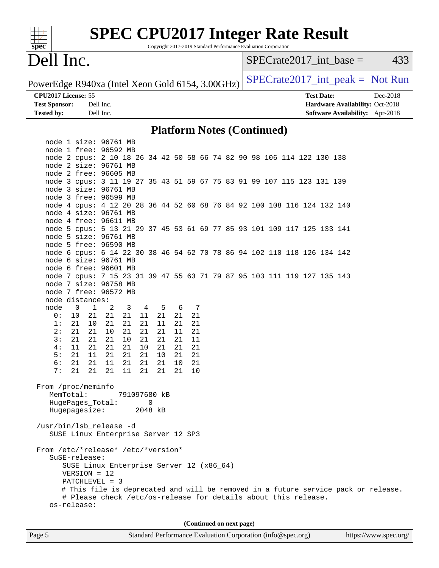| <b>SPEC CPU2017 Integer Rate Result</b><br>Copyright 2017-2019 Standard Performance Evaluation Corporation<br>spec <sup>®</sup> |                                                                                                                                                      |  |  |  |  |
|---------------------------------------------------------------------------------------------------------------------------------|------------------------------------------------------------------------------------------------------------------------------------------------------|--|--|--|--|
| Dell Inc.                                                                                                                       | $SPECrate2017$ _int_base =<br>433                                                                                                                    |  |  |  |  |
| PowerEdge R940xa (Intel Xeon Gold 6154, 3.00GHz)                                                                                | $SPECrate2017\_int\_peak = Not Run$                                                                                                                  |  |  |  |  |
| CPU2017 License: 55                                                                                                             | <b>Test Date:</b><br>Dec-2018                                                                                                                        |  |  |  |  |
| <b>Test Sponsor:</b><br>Dell Inc.                                                                                               | Hardware Availability: Oct-2018                                                                                                                      |  |  |  |  |
| <b>Tested by:</b><br>Dell Inc.                                                                                                  | <b>Software Availability:</b> Apr-2018                                                                                                               |  |  |  |  |
| <b>Platform Notes (Continued)</b>                                                                                               |                                                                                                                                                      |  |  |  |  |
| node 1 size: 96761 MB                                                                                                           |                                                                                                                                                      |  |  |  |  |
| node 1 free: 96592 MB                                                                                                           |                                                                                                                                                      |  |  |  |  |
| node 2 cpus: 2 10 18 26 34 42 50 58 66 74 82 90 98 106 114 122 130 138                                                          |                                                                                                                                                      |  |  |  |  |
| node 2 size: 96761 MB                                                                                                           |                                                                                                                                                      |  |  |  |  |
| node 2 free: 96605 MB                                                                                                           |                                                                                                                                                      |  |  |  |  |
| node 3 cpus: 3 11 19 27 35 43 51 59 67 75 83 91 99 107 115 123 131 139<br>node 3 size: 96761 MB                                 |                                                                                                                                                      |  |  |  |  |
| node 3 free: 96599 MB                                                                                                           |                                                                                                                                                      |  |  |  |  |
| node 4 cpus: 4 12 20 28 36 44 52 60 68 76 84 92 100 108 116 124 132 140                                                         |                                                                                                                                                      |  |  |  |  |
| node 4 size: 96761 MB                                                                                                           |                                                                                                                                                      |  |  |  |  |
| node 4 free: 96611 MB                                                                                                           |                                                                                                                                                      |  |  |  |  |
| node 5 cpus: 5 13 21 29 37 45 53 61 69 77 85 93 101 109 117 125 133 141                                                         |                                                                                                                                                      |  |  |  |  |
| node 5 size: 96761 MB<br>node 5 free: 96590 MB                                                                                  |                                                                                                                                                      |  |  |  |  |
| node 6 cpus: 6 14 22 30 38 46 54 62 70 78 86 94 102 110 118 126 134 142                                                         |                                                                                                                                                      |  |  |  |  |
| node 6 size: 96761 MB                                                                                                           |                                                                                                                                                      |  |  |  |  |
| node 6 free: 96601 MB                                                                                                           |                                                                                                                                                      |  |  |  |  |
| node 7 cpus: 7 15 23 31 39 47 55 63 71 79 87 95 103 111 119 127 135 143                                                         |                                                                                                                                                      |  |  |  |  |
| node 7 size: 96758 MB                                                                                                           |                                                                                                                                                      |  |  |  |  |
| node 7 free: 96572 MB<br>node distances:                                                                                        |                                                                                                                                                      |  |  |  |  |
| node<br>0<br>$\mathbf{1}$<br>2<br>$\overline{3}$<br>4<br>5<br>6<br>7                                                            |                                                                                                                                                      |  |  |  |  |
| 21<br>21<br>0 :<br>10 <sup>°</sup><br>21<br>21<br>21<br>11<br>21                                                                |                                                                                                                                                      |  |  |  |  |
| 1:<br>21<br>21<br>21<br>21<br>10<br>21<br>11<br>21                                                                              |                                                                                                                                                      |  |  |  |  |
| 21<br>21<br>21<br>11<br>2:<br>21<br>10<br>21<br>21                                                                              |                                                                                                                                                      |  |  |  |  |
| 3:<br>21<br>21<br>21<br>10<br>21<br>21<br>21<br>11                                                                              |                                                                                                                                                      |  |  |  |  |
| 4 :<br>11<br>21<br>21<br>21<br>10<br>21<br>21<br>21<br>5:<br>11<br>21<br>21<br>21<br>21<br>21<br>10<br>21                       |                                                                                                                                                      |  |  |  |  |
| 6:<br>21<br>11<br>21<br>21<br>10<br>21<br>21<br>21                                                                              |                                                                                                                                                      |  |  |  |  |
| 7:<br>21<br>21<br>21<br>21<br>21<br>11<br>21<br>10                                                                              |                                                                                                                                                      |  |  |  |  |
|                                                                                                                                 |                                                                                                                                                      |  |  |  |  |
| From /proc/meminfo                                                                                                              |                                                                                                                                                      |  |  |  |  |
| MemTotal:<br>791097680 kB                                                                                                       |                                                                                                                                                      |  |  |  |  |
| HugePages_Total:<br>0<br>Hugepagesize:<br>2048 kB                                                                               |                                                                                                                                                      |  |  |  |  |
|                                                                                                                                 |                                                                                                                                                      |  |  |  |  |
| /usr/bin/lsb_release -d<br>SUSE Linux Enterprise Server 12 SP3                                                                  |                                                                                                                                                      |  |  |  |  |
|                                                                                                                                 |                                                                                                                                                      |  |  |  |  |
| From /etc/*release* /etc/*version*                                                                                              |                                                                                                                                                      |  |  |  |  |
| SuSE-release:                                                                                                                   |                                                                                                                                                      |  |  |  |  |
| SUSE Linux Enterprise Server 12 (x86_64)                                                                                        |                                                                                                                                                      |  |  |  |  |
| $VERSION = 12$                                                                                                                  |                                                                                                                                                      |  |  |  |  |
| $PATCHLEVEL = 3$                                                                                                                |                                                                                                                                                      |  |  |  |  |
|                                                                                                                                 | # This file is deprecated and will be removed in a future service pack or release.<br># Please check /etc/os-release for details about this release. |  |  |  |  |
| os-release:                                                                                                                     |                                                                                                                                                      |  |  |  |  |
|                                                                                                                                 |                                                                                                                                                      |  |  |  |  |
| (Continued on next page)                                                                                                        |                                                                                                                                                      |  |  |  |  |
|                                                                                                                                 |                                                                                                                                                      |  |  |  |  |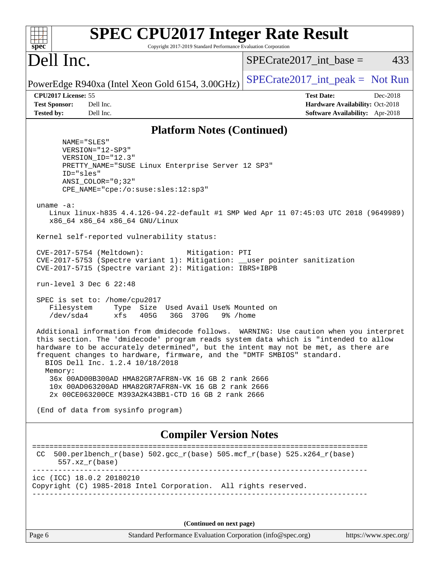| spec <sup>®</sup>                                                                          | <b>SPEC CPU2017 Integer Rate Result</b><br>Copyright 2017-2019 Standard Performance Evaluation Corporation                                                                                                                                  |                                                                                                                                                                                                                                                                     |
|--------------------------------------------------------------------------------------------|---------------------------------------------------------------------------------------------------------------------------------------------------------------------------------------------------------------------------------------------|---------------------------------------------------------------------------------------------------------------------------------------------------------------------------------------------------------------------------------------------------------------------|
| Dell Inc.                                                                                  |                                                                                                                                                                                                                                             | 433<br>$SPECrate2017\_int\_base =$                                                                                                                                                                                                                                  |
|                                                                                            | PowerEdge R940xa (Intel Xeon Gold 6154, 3.00GHz)                                                                                                                                                                                            | $SPECrate2017\_int\_peak = Not Run$                                                                                                                                                                                                                                 |
| CPU2017 License: 55<br><b>Test Sponsor:</b><br>Dell Inc.<br>Dell Inc.<br><b>Tested by:</b> |                                                                                                                                                                                                                                             | <b>Test Date:</b><br>Dec-2018<br>Hardware Availability: Oct-2018<br>Software Availability: Apr-2018                                                                                                                                                                 |
|                                                                                            |                                                                                                                                                                                                                                             |                                                                                                                                                                                                                                                                     |
| NAME="SLES"                                                                                | <b>Platform Notes (Continued)</b>                                                                                                                                                                                                           |                                                                                                                                                                                                                                                                     |
| VERSION="12-SP3"<br>VERSION_ID="12.3"<br>ID="sles"<br>$ANSI$ _COLOR="0;32"                 | PRETTY_NAME="SUSE Linux Enterprise Server 12 SP3"<br>CPE_NAME="cpe:/o:suse:sles:12:sp3"                                                                                                                                                     |                                                                                                                                                                                                                                                                     |
| uname $-a$ :<br>x86_64 x86_64 x86_64 GNU/Linux                                             |                                                                                                                                                                                                                                             | Linux linux-h835 4.4.126-94.22-default #1 SMP Wed Apr 11 07:45:03 UTC 2018 (9649989)                                                                                                                                                                                |
|                                                                                            | Kernel self-reported vulnerability status:                                                                                                                                                                                                  |                                                                                                                                                                                                                                                                     |
| CVE-2017-5754 (Meltdown):<br>run-level $3$ Dec $6$ $22:48$                                 | Mitigation: PTI<br>CVE-2017-5753 (Spectre variant 1): Mitigation: __user pointer sanitization<br>CVE-2017-5715 (Spectre variant 2): Mitigation: IBRS+IBPB                                                                                   |                                                                                                                                                                                                                                                                     |
| SPEC is set to: /home/cpu2017<br>Filesystem<br>/dev/sda4                                   | Type Size Used Avail Use% Mounted on<br>xfs<br>405G<br>36G 370G<br>9% /home                                                                                                                                                                 |                                                                                                                                                                                                                                                                     |
| BIOS Dell Inc. 1.2.4 10/18/2018<br>Memory:                                                 | frequent changes to hardware, firmware, and the "DMTF SMBIOS" standard.<br>36x 00AD00B300AD HMA82GR7AFR8N-VK 16 GB 2 rank 2666<br>10x 00AD063200AD HMA82GR7AFR8N-VK 16 GB 2 rank 2666<br>2x 00CE063200CE M393A2K43BB1-CTD 16 GB 2 rank 2666 | Additional information from dmidecode follows. WARNING: Use caution when you interpret<br>this section. The 'dmidecode' program reads system data which is "intended to allow<br>hardware to be accurately determined", but the intent may not be met, as there are |
| (End of data from sysinfo program)                                                         |                                                                                                                                                                                                                                             |                                                                                                                                                                                                                                                                     |
|                                                                                            | <b>Compiler Version Notes</b>                                                                                                                                                                                                               |                                                                                                                                                                                                                                                                     |
| CC.<br>$557. xz_r(base)$                                                                   | $500. perlbench_r(base) 502. gcc_r(base) 505. mcf_r(base) 525. x264_r(base)$                                                                                                                                                                |                                                                                                                                                                                                                                                                     |
| icc (ICC) 18.0.2 20180210                                                                  | Copyright (C) 1985-2018 Intel Corporation. All rights reserved.                                                                                                                                                                             |                                                                                                                                                                                                                                                                     |
|                                                                                            | (Continued on next page)                                                                                                                                                                                                                    |                                                                                                                                                                                                                                                                     |
| Page 6                                                                                     | Standard Performance Evaluation Corporation (info@spec.org)                                                                                                                                                                                 | https://www.spec.org/                                                                                                                                                                                                                                               |
|                                                                                            |                                                                                                                                                                                                                                             |                                                                                                                                                                                                                                                                     |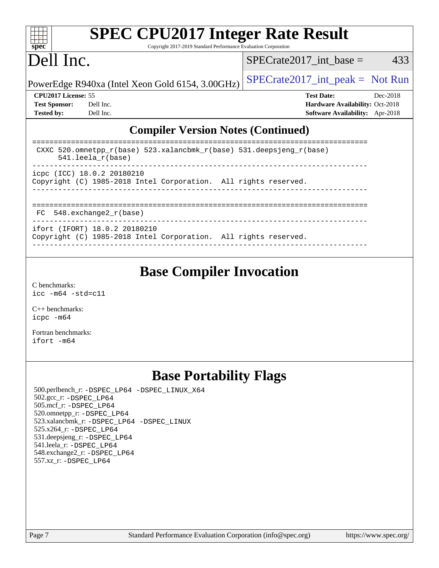| spec <sup>®</sup>                                                                                                         | <b>SPEC CPU2017 Integer Rate Result</b><br>Copyright 2017-2019 Standard Performance Evaluation Corporation |  |                                        |            |  |  |  |
|---------------------------------------------------------------------------------------------------------------------------|------------------------------------------------------------------------------------------------------------|--|----------------------------------------|------------|--|--|--|
| Dell Inc.                                                                                                                 |                                                                                                            |  | $SPECrate2017$ int base =              | 433        |  |  |  |
|                                                                                                                           | PowerEdge R940xa (Intel Xeon Gold 6154, 3.00GHz)                                                           |  | $SPECTate2017\_int\_peak = Not Run$    |            |  |  |  |
| CPU2017 License: 55                                                                                                       |                                                                                                            |  | <b>Test Date:</b>                      | $Dec-2018$ |  |  |  |
| <b>Test Sponsor:</b>                                                                                                      | Dell Inc.                                                                                                  |  | Hardware Availability: Oct-2018        |            |  |  |  |
| <b>Tested by:</b>                                                                                                         | Dell Inc.                                                                                                  |  | <b>Software Availability:</b> Apr-2018 |            |  |  |  |
| <b>Compiler Version Notes (Continued)</b>                                                                                 |                                                                                                            |  |                                        |            |  |  |  |
| CXXC $520.\text{omnetpp_r(base)}$ $523.\text{xalancbmk_r(base)}$ $531.\text{deepsjeng_r(base)}$<br>$541.$ leela $r(base)$ |                                                                                                            |  |                                        |            |  |  |  |
| icpc (ICC) 18.0.2 20180210<br>Copyright (C) 1985-2018 Intel Corporation. All rights reserved.                             |                                                                                                            |  |                                        |            |  |  |  |
| $FC 548$ , exchange $2 r(base)$                                                                                           |                                                                                                            |  |                                        |            |  |  |  |

| TCDC (ICC) IO.U.Z ZUIOUZIU |                               | Copyright (C) 1985-2018 Intel Corporation. All rights reserved. |  |
|----------------------------|-------------------------------|-----------------------------------------------------------------|--|
|                            |                               |                                                                 |  |
| FC 548.exchange2 r(base)   |                               |                                                                 |  |
|                            | ifort (IFORT) 18.0.2 20180210 | Copyright (C) 1985-2018 Intel Corporation. All rights reserved. |  |
|                            |                               |                                                                 |  |

### **[Base Compiler Invocation](http://www.spec.org/auto/cpu2017/Docs/result-fields.html#BaseCompilerInvocation)**

[C benchmarks](http://www.spec.org/auto/cpu2017/Docs/result-fields.html#Cbenchmarks): [icc -m64 -std=c11](http://www.spec.org/cpu2017/results/res2018q4/cpu2017-20181210-10186.flags.html#user_CCbase_intel_icc_64bit_c11_33ee0cdaae7deeeab2a9725423ba97205ce30f63b9926c2519791662299b76a0318f32ddfffdc46587804de3178b4f9328c46fa7c2b0cd779d7a61945c91cd35)

[C++ benchmarks:](http://www.spec.org/auto/cpu2017/Docs/result-fields.html#CXXbenchmarks) [icpc -m64](http://www.spec.org/cpu2017/results/res2018q4/cpu2017-20181210-10186.flags.html#user_CXXbase_intel_icpc_64bit_4ecb2543ae3f1412ef961e0650ca070fec7b7afdcd6ed48761b84423119d1bf6bdf5cad15b44d48e7256388bc77273b966e5eb805aefd121eb22e9299b2ec9d9)

[Fortran benchmarks](http://www.spec.org/auto/cpu2017/Docs/result-fields.html#Fortranbenchmarks): [ifort -m64](http://www.spec.org/cpu2017/results/res2018q4/cpu2017-20181210-10186.flags.html#user_FCbase_intel_ifort_64bit_24f2bb282fbaeffd6157abe4f878425411749daecae9a33200eee2bee2fe76f3b89351d69a8130dd5949958ce389cf37ff59a95e7a40d588e8d3a57e0c3fd751)

## **[Base Portability Flags](http://www.spec.org/auto/cpu2017/Docs/result-fields.html#BasePortabilityFlags)**

 500.perlbench\_r: [-DSPEC\\_LP64](http://www.spec.org/cpu2017/results/res2018q4/cpu2017-20181210-10186.flags.html#b500.perlbench_r_basePORTABILITY_DSPEC_LP64) [-DSPEC\\_LINUX\\_X64](http://www.spec.org/cpu2017/results/res2018q4/cpu2017-20181210-10186.flags.html#b500.perlbench_r_baseCPORTABILITY_DSPEC_LINUX_X64) 502.gcc\_r: [-DSPEC\\_LP64](http://www.spec.org/cpu2017/results/res2018q4/cpu2017-20181210-10186.flags.html#suite_basePORTABILITY502_gcc_r_DSPEC_LP64) 505.mcf\_r: [-DSPEC\\_LP64](http://www.spec.org/cpu2017/results/res2018q4/cpu2017-20181210-10186.flags.html#suite_basePORTABILITY505_mcf_r_DSPEC_LP64) 520.omnetpp\_r: [-DSPEC\\_LP64](http://www.spec.org/cpu2017/results/res2018q4/cpu2017-20181210-10186.flags.html#suite_basePORTABILITY520_omnetpp_r_DSPEC_LP64) 523.xalancbmk\_r: [-DSPEC\\_LP64](http://www.spec.org/cpu2017/results/res2018q4/cpu2017-20181210-10186.flags.html#suite_basePORTABILITY523_xalancbmk_r_DSPEC_LP64) [-DSPEC\\_LINUX](http://www.spec.org/cpu2017/results/res2018q4/cpu2017-20181210-10186.flags.html#b523.xalancbmk_r_baseCXXPORTABILITY_DSPEC_LINUX) 525.x264\_r: [-DSPEC\\_LP64](http://www.spec.org/cpu2017/results/res2018q4/cpu2017-20181210-10186.flags.html#suite_basePORTABILITY525_x264_r_DSPEC_LP64) 531.deepsjeng\_r: [-DSPEC\\_LP64](http://www.spec.org/cpu2017/results/res2018q4/cpu2017-20181210-10186.flags.html#suite_basePORTABILITY531_deepsjeng_r_DSPEC_LP64) 541.leela\_r: [-DSPEC\\_LP64](http://www.spec.org/cpu2017/results/res2018q4/cpu2017-20181210-10186.flags.html#suite_basePORTABILITY541_leela_r_DSPEC_LP64) 548.exchange2\_r: [-DSPEC\\_LP64](http://www.spec.org/cpu2017/results/res2018q4/cpu2017-20181210-10186.flags.html#suite_basePORTABILITY548_exchange2_r_DSPEC_LP64) 557.xz\_r: [-DSPEC\\_LP64](http://www.spec.org/cpu2017/results/res2018q4/cpu2017-20181210-10186.flags.html#suite_basePORTABILITY557_xz_r_DSPEC_LP64)